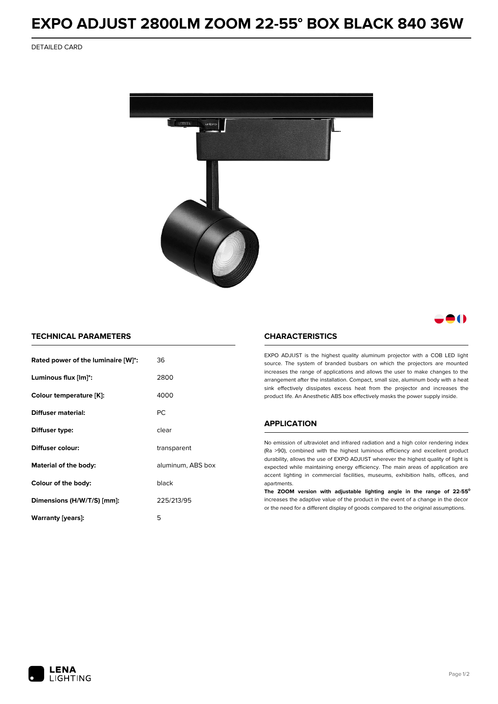# **EXPO ADJUST 2800LM ZOOM 22-55° BOX BLACK 840 36W**

DETAILED CARD



# 80

### **TECHNICAL PARAMETERS**

| Rated power of the luminaire [W]*: | 36                |  |
|------------------------------------|-------------------|--|
| Luminous flux [lm]*:               | 2800              |  |
| Colour temperature [K]:            | 4000              |  |
| Diffuser material:                 | РC                |  |
| Diffuser type:                     | clear             |  |
| Diffuser colour:                   | transparent       |  |
| Material of the body:              | aluminum, ABS box |  |
| Colour of the body:                | black             |  |
| Dimensions (H/W/T/S) [mm]:         | 225/213/95        |  |
| Warranty [years]:                  | 5                 |  |

#### **CHARACTERISTICS**

EXPO ADJUST is the highest quality aluminum projector with a COB LED light source. The system of branded busbars on which the projectors are mounted increases the range of applications and allows the user to make changes to the arrangement after the installation. Compact, small size, aluminum body with a heat sink effectively dissipates excess heat from the projector and increases the product life. An Anesthetic ABS box effectively masks the power supply inside.

## **APPLICATION**

No emission of ultraviolet and infrared radiation and a high color rendering index (Ra >90), combined with the highest luminous efficiency and excellent product durability, allows the use of EXPO ADJUST wherever the highest quality of light is expected while maintaining energy efficiency. The main areas of application are accent lighting in commercial facilities, museums, exhibition halls, offices, and apartments.

**The ZOOM version with adjustable lighting angle in the range of 22-55⁰** increases the adaptive value of the product in the event of a change in the decor or the need for a different display of goods compared to the original assumptions.